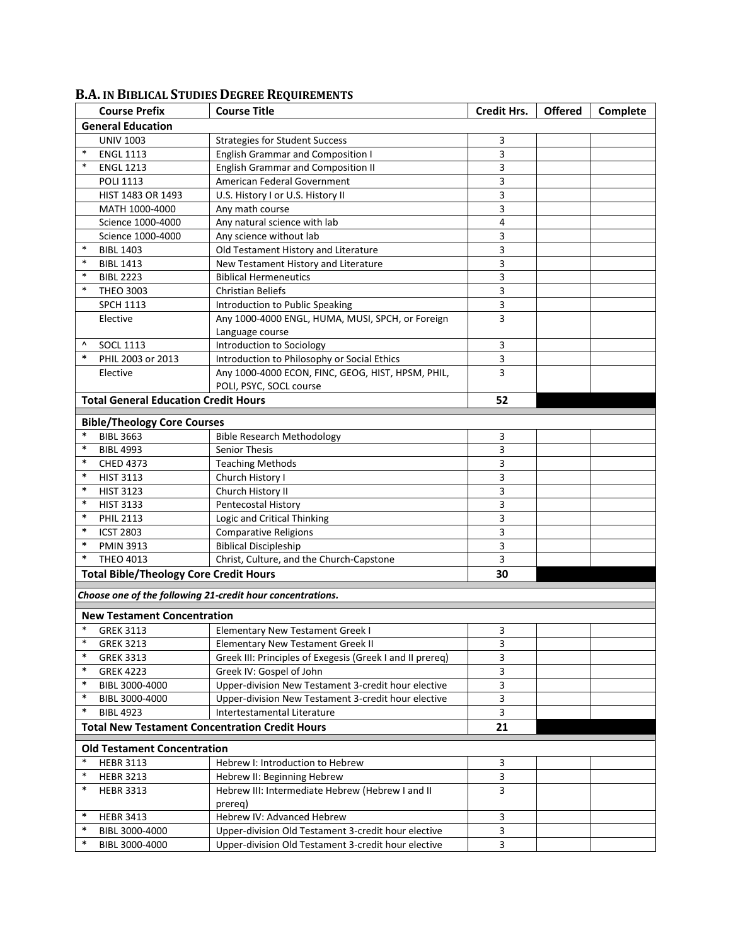|                                                            | <b>Course Prefix</b>                          | <b>Course Title</b>                                       | <b>Credit Hrs.</b> | <b>Offered</b> | Complete |  |  |  |  |
|------------------------------------------------------------|-----------------------------------------------|-----------------------------------------------------------|--------------------|----------------|----------|--|--|--|--|
| <b>General Education</b>                                   |                                               |                                                           |                    |                |          |  |  |  |  |
|                                                            | <b>UNIV 1003</b>                              | <b>Strategies for Student Success</b>                     | 3                  |                |          |  |  |  |  |
| $\ast$                                                     | <b>ENGL 1113</b>                              | <b>English Grammar and Composition I</b>                  | 3                  |                |          |  |  |  |  |
| $\ast$                                                     | <b>ENGL 1213</b>                              | <b>English Grammar and Composition II</b>                 | 3                  |                |          |  |  |  |  |
|                                                            | <b>POLI 1113</b>                              | American Federal Government                               | 3                  |                |          |  |  |  |  |
|                                                            | HIST 1483 OR 1493                             | U.S. History I or U.S. History II                         | 3                  |                |          |  |  |  |  |
|                                                            | MATH 1000-4000                                | Any math course                                           | 3                  |                |          |  |  |  |  |
|                                                            | Science 1000-4000                             | Any natural science with lab                              | 4                  |                |          |  |  |  |  |
|                                                            | Science 1000-4000                             | Any science without lab                                   | 3                  |                |          |  |  |  |  |
| $\ast$                                                     | <b>BIBL 1403</b>                              | Old Testament History and Literature                      | 3                  |                |          |  |  |  |  |
| $\ast$                                                     | <b>BIBL 1413</b>                              | New Testament History and Literature                      | 3                  |                |          |  |  |  |  |
| $\ast$                                                     | <b>BIBL 2223</b>                              | <b>Biblical Hermeneutics</b>                              | 3                  |                |          |  |  |  |  |
| $\ast$                                                     | <b>THEO 3003</b>                              | <b>Christian Beliefs</b>                                  | 3                  |                |          |  |  |  |  |
|                                                            | <b>SPCH 1113</b>                              | Introduction to Public Speaking                           | 3                  |                |          |  |  |  |  |
|                                                            | Elective                                      | Any 1000-4000 ENGL, HUMA, MUSI, SPCH, or Foreign          | 3                  |                |          |  |  |  |  |
|                                                            |                                               | Language course                                           |                    |                |          |  |  |  |  |
| ٨                                                          | <b>SOCL 1113</b>                              | Introduction to Sociology                                 | 3                  |                |          |  |  |  |  |
| $\ast$                                                     | PHIL 2003 or 2013                             | Introduction to Philosophy or Social Ethics               | 3                  |                |          |  |  |  |  |
|                                                            | Elective                                      | Any 1000-4000 ECON, FINC, GEOG, HIST, HPSM, PHIL,         | 3                  |                |          |  |  |  |  |
|                                                            |                                               | POLI, PSYC, SOCL course                                   |                    |                |          |  |  |  |  |
|                                                            | <b>Total General Education Credit Hours</b>   |                                                           | 52                 |                |          |  |  |  |  |
|                                                            | <b>Bible/Theology Core Courses</b>            |                                                           |                    |                |          |  |  |  |  |
| $\ast$                                                     | <b>BIBL 3663</b>                              | <b>Bible Research Methodology</b>                         | 3                  |                |          |  |  |  |  |
| $\ast$                                                     | <b>BIBL 4993</b>                              | Senior Thesis                                             | 3                  |                |          |  |  |  |  |
| $\ast$                                                     | <b>CHED 4373</b>                              | <b>Teaching Methods</b>                                   | 3                  |                |          |  |  |  |  |
| $\ast$                                                     | <b>HIST 3113</b>                              | Church History I                                          | 3                  |                |          |  |  |  |  |
| $\ast$                                                     | <b>HIST 3123</b>                              | Church History II                                         | 3                  |                |          |  |  |  |  |
| $\ast$                                                     | <b>HIST 3133</b>                              | Pentecostal History                                       | 3                  |                |          |  |  |  |  |
| $\ast$                                                     | <b>PHIL 2113</b>                              | Logic and Critical Thinking                               | 3                  |                |          |  |  |  |  |
| $\ast$                                                     | <b>ICST 2803</b>                              | <b>Comparative Religions</b>                              | 3                  |                |          |  |  |  |  |
| $\ast$                                                     | <b>PMIN 3913</b>                              | <b>Biblical Discipleship</b>                              | 3                  |                |          |  |  |  |  |
| $\ast$                                                     | <b>THEO 4013</b>                              | Christ, Culture, and the Church-Capstone                  | 3                  |                |          |  |  |  |  |
|                                                            | <b>Total Bible/Theology Core Credit Hours</b> |                                                           | 30                 |                |          |  |  |  |  |
| Choose one of the following 21-credit hour concentrations. |                                               |                                                           |                    |                |          |  |  |  |  |
|                                                            |                                               |                                                           |                    |                |          |  |  |  |  |
|                                                            | <b>New Testament Concentration</b>            |                                                           |                    |                |          |  |  |  |  |
| $\ast$                                                     | <b>GREK 3113</b>                              | <b>Elementary New Testament Greek I</b>                   | 3                  |                |          |  |  |  |  |
| $\ast$                                                     | <b>GREK 3213</b>                              | <b>Elementary New Testament Greek II</b>                  | 3                  |                |          |  |  |  |  |
| $\ast$                                                     | <b>GREK 3313</b>                              | Greek III: Principles of Exegesis (Greek I and II prereq) | 3                  |                |          |  |  |  |  |
| $\ast$                                                     | <b>GREK 4223</b>                              | Greek IV: Gospel of John                                  | 3                  |                |          |  |  |  |  |
| $\ast$                                                     | BIBL 3000-4000                                | Upper-division New Testament 3-credit hour elective       | 3                  |                |          |  |  |  |  |
| $\ast$                                                     | BIBL 3000-4000                                | Upper-division New Testament 3-credit hour elective       | 3                  |                |          |  |  |  |  |
| $\ast$                                                     | <b>BIBL 4923</b>                              | Intertestamental Literature                               | 3                  |                |          |  |  |  |  |
|                                                            |                                               | <b>Total New Testament Concentration Credit Hours</b>     | 21                 |                |          |  |  |  |  |
|                                                            | <b>Old Testament Concentration</b>            |                                                           |                    |                |          |  |  |  |  |
| $\ast$                                                     | <b>HEBR 3113</b>                              | Hebrew I: Introduction to Hebrew                          | 3                  |                |          |  |  |  |  |
| $\ast$                                                     | <b>HEBR 3213</b>                              | Hebrew II: Beginning Hebrew                               | 3                  |                |          |  |  |  |  |
| $\ast$                                                     | <b>HEBR 3313</b>                              | Hebrew III: Intermediate Hebrew (Hebrew I and II          | 3                  |                |          |  |  |  |  |
|                                                            |                                               | prereg)                                                   |                    |                |          |  |  |  |  |
| $\ast$                                                     | <b>HEBR 3413</b>                              | Hebrew IV: Advanced Hebrew                                | 3                  |                |          |  |  |  |  |
| $\ast$                                                     | BIBL 3000-4000                                | Upper-division Old Testament 3-credit hour elective       | 3                  |                |          |  |  |  |  |
| $\ast$                                                     | BIBL 3000-4000                                | Upper-division Old Testament 3-credit hour elective       | 3                  |                |          |  |  |  |  |

## **B.A. IN BIBLICAL STUDIES DEGREE REQUIREMENTS**